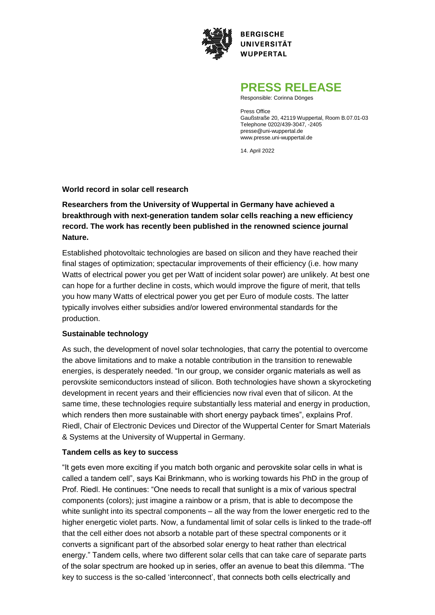

**BERGISCHE UNIVERSITÄT WUPPERTAL** 

# **PRESS RELEASE**

Responsible: Corinna Dönges

Press Office Gaußstraße 20, 42119 Wuppertal, Room B.07.01-03 Telephone 0202/439-3047, -2405 presse@uni-wuppertal.de www.presse.uni-wuppertal.de

14. April 2022

### **World record in solar cell research**

## **Researchers from the University of Wuppertal in Germany have achieved a breakthrough with next-generation tandem solar cells reaching a new efficiency record. The work has recently been published in the renowned science journal Nature.**

Established photovoltaic technologies are based on silicon and they have reached their final stages of optimization; spectacular improvements of their efficiency (i.e. how many Watts of electrical power you get per Watt of incident solar power) are unlikely. At best one can hope for a further decline in costs, which would improve the figure of merit, that tells you how many Watts of electrical power you get per Euro of module costs. The latter typically involves either subsidies and/or lowered environmental standards for the production.

#### **Sustainable technology**

As such, the development of novel solar technologies, that carry the potential to overcome the above limitations and to make a notable contribution in the transition to renewable energies, is desperately needed. "In our group, we consider organic materials as well as perovskite semiconductors instead of silicon. Both technologies have shown a skyrocketing development in recent years and their efficiencies now rival even that of silicon. At the same time, these technologies require substantially less material and energy in production, which renders then more sustainable with short energy payback times", explains Prof. Riedl, Chair of Electronic Devices und Director of the Wuppertal Center for Smart Materials & Systems at the University of Wuppertal in Germany.

#### **Tandem cells as key to success**

"It gets even more exciting if you match both organic and perovskite solar cells in what is called a tandem cell", says Kai Brinkmann, who is working towards his PhD in the group of Prof. Riedl. He continues: "One needs to recall that sunlight is a mix of various spectral components (colors); just imagine a rainbow or a prism, that is able to decompose the white sunlight into its spectral components – all the way from the lower energetic red to the higher energetic violet parts. Now, a fundamental limit of solar cells is linked to the trade-off that the cell either does not absorb a notable part of these spectral components or it converts a significant part of the absorbed solar energy to heat rather than electrical energy." Tandem cells, where two different solar cells that can take care of separate parts of the solar spectrum are hooked up in series, offer an avenue to beat this dilemma. "The key to success is the so-called 'interconnect', that connects both cells electrically and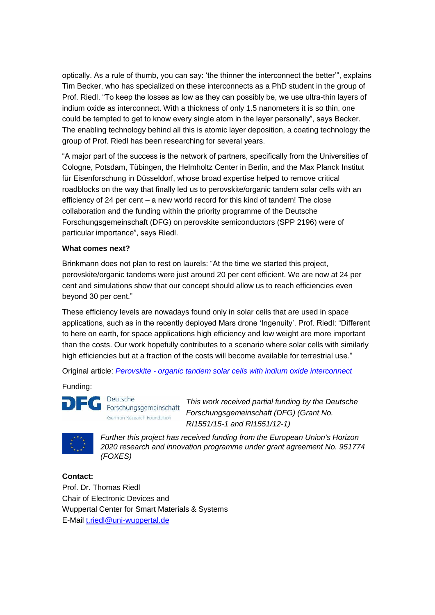optically. As a rule of thumb, you can say: 'the thinner the interconnect the better'", explains Tim Becker, who has specialized on these interconnects as a PhD student in the group of Prof. Riedl. "To keep the losses as low as they can possibly be, we use ultra-thin layers of indium oxide as interconnect. With a thickness of only 1.5 nanometers it is so thin, one could be tempted to get to know every single atom in the layer personally", says Becker. The enabling technology behind all this is atomic layer deposition, a coating technology the group of Prof. Riedl has been researching for several years.

"A major part of the success is the network of partners, specifically from the Universities of Cologne, Potsdam, Tübingen, the Helmholtz Center in Berlin, and the Max Planck Institut für Eisenforschung in Düsseldorf, whose broad expertise helped to remove critical roadblocks on the way that finally led us to perovskite/organic tandem solar cells with an efficiency of 24 per cent – a new world record for this kind of tandem! The close collaboration and the funding within the priority programme of the Deutsche Forschungsgemeinschaft (DFG) on perovskite semiconductors (SPP 2196) were of particular importance", says Riedl.

#### **What comes next?**

Brinkmann does not plan to rest on laurels: "At the time we started this project, perovskite/organic tandems were just around 20 per cent efficient. We are now at 24 per cent and simulations show that our concept should allow us to reach efficiencies even beyond 30 per cent."

These efficiency levels are nowadays found only in solar cells that are used in space applications, such as in the recently deployed Mars drone 'Ingenuity'. Prof. Riedl: "Different to here on earth, for space applications high efficiency and low weight are more important than the costs. Our work hopefully contributes to a scenario where solar cells with similarly high efficiencies but at a fraction of the costs will become available for terrestrial use."

Original article: *Perovskite - [organic tandem solar cells with indium oxide interconnect](https://www.nature.com/articles/s41586-022-04455-0/)*

Funding:



Deutsche Forschungsgemeinschaft German Research Foundation

*This work received partial funding by the Deutsche Forschungsgemeinschaft (DFG) (Grant No. RI1551/15-1 and RI1551/12-1)* 



*Further this project has received funding from the European Union's Horizon 2020 research and innovation programme under grant agreement No. 951774 (FOXES)*

## **Contact:**

Prof. Dr. Thomas Riedl Chair of Electronic Devices and Wuppertal Center for Smart Materials & Systems E-Mail [t.riedl@uni-wuppertal.de](mailto:t.riedl@uni-wuppertal.de)